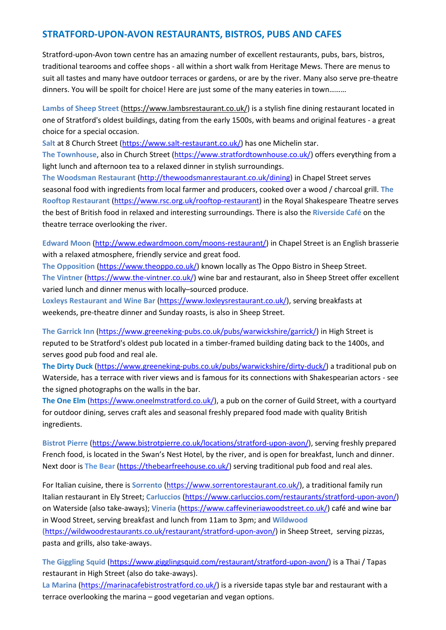# **STRATFORD-UPON-AVON RESTAURANTS, BISTROS, PUBS AND CAFES**

Stratford-upon-Avon town centre has an amazing number of excellent restaurants, pubs, bars, bistros, traditional tearooms and coffee shops - all within a short walk from Heritage Mews. There are menus to suit all tastes and many have outdoor terraces or gardens, or are by the river. Many also serve pre-theatre dinners. You will be spoilt for choice! Here are just some of the many eateries in town………

**Lambs of Sheep Street** [\(https://www.lambsrestaurant.co.uk/\)](https://www.lambsrestaurant.co.uk/) is a stylish fine dining restaurant located in one of Stratford's oldest buildings, dating from the early 1500s, with beams and original features - a great choice for a special occasion.

Salt at 8 Church Street [\(https://www.salt-restaurant.co.uk/\)](https://www.salt-restaurant.co.uk/) has one Michelin star.

**The Townhouse**, also in Church Street [\(https://www.stratfordtownhouse.co.uk/\)](https://www.stratfordtownhouse.co.uk/) offers everything from a light lunch and afternoon tea to a relaxed dinner in stylish surroundings.

**The Woodsman Restaurant** [\(http://thewoodsmanrestaurant.co.uk/dining\)](http://thewoodsmanrestaurant.co.uk/dining) in Chapel Street serves seasonal food with ingredients from local farmer and producers, cooked over a wood / charcoal grill. **The Rooftop Restaurant** [\(https://www.rsc.org.uk/rooftop-restaurant\)](https://www.rsc.org.uk/rooftop-restaurant) in the Royal Shakespeare Theatre serves the best of British food in relaxed and interesting surroundings. There is also the **Riverside Café** on the theatre terrace overlooking the river.

**Edward Moon** [\(http://www.edwardmoon.com/moons-restaurant/\)](http://www.edwardmoon.com/moons-restaurant/) in Chapel Street is an English brasserie with a relaxed atmosphere, friendly service and great food.

**The Opposition** [\(https://www.theoppo.co.uk/\)](https://www.theoppo.co.uk/) known locally as The Oppo Bistro in Sheep Street. **The Vintner** [\(https://www.the-vintner.co.uk/\)](https://www.the-vintner.co.uk/) wine bar and restaurant, also in Sheep Street offer excellent varied lunch and dinner menus with locally–sourced produce.

**Loxleys Restaurant and Wine Bar** [\(https://www.loxleysrestaurant.co.uk/\)](https://www.loxleysrestaurant.co.uk/), serving breakfasts at weekends, pre-theatre dinner and Sunday roasts, is also in Sheep Street.

**The Garrick Inn** [\(https://www.greeneking-pubs.co.uk/pubs/warwickshire/garrick/\)](https://www.greeneking-pubs.co.uk/pubs/warwickshire/garrick/) in High Street is reputed to be Stratford's oldest pub located in a timber-framed building dating back to the 1400s, and serves good pub food and real ale.

**The Dirty Duck** [\(https://www.greeneking-pubs.co.uk/pubs/warwickshire/dirty-duck/\)](https://www.greeneking-pubs.co.uk/pubs/warwickshire/dirty-duck/) a traditional pub on Waterside, has a terrace with river views and is famous for its connections with Shakespearian actors - see the signed photographs on the walls in the bar.

**The One Elm** [\(https://www.oneelmstratford.co.uk/\)](https://www.oneelmstratford.co.uk/), a pub on the corner of Guild Street, with a courtyard for outdoor dining, serves craft ales and seasonal freshly prepared food made with quality British ingredients.

**Bistrot Pierre** [\(https://www.bistrotpierre.co.uk/locations/stratford-upon-avon/\)](https://www.bistrotpierre.co.uk/locations/stratford-upon-avon/), serving freshly prepared French food, is located in the Swan's Nest Hotel, by the river, and is open for breakfast, lunch and dinner. Next door is **The Bear** [\(https://thebearfreehouse.co.uk/\)](https://thebearfreehouse.co.uk/) serving traditional pub food and real ales.

For Italian cuisine, there is **Sorrento** [\(https://www.sorrentorestaurant.co.uk/\)](https://www.sorrentorestaurant.co.uk/), a traditional family run Italian restaurant in Ely Street; **Carluccios** [\(https://www.carluccios.com/restaurants/stratford-upon-avon/\)](https://www.carluccios.com/restaurants/stratford-upon-avon/) on Waterside (also take-aways); **Vineria** [\(https://www.caffevineriawoodstreet.co.uk/\)](https://www.caffevineriawoodstreet.co.uk/) café and wine bar in Wood Street, serving breakfast and lunch from 11am to 3pm; and **Wildwood (**[https://wildwoodrestaurants.co.uk/restaurant/stratford-upon-avon/\)](https://wildwoodrestaurants.co.uk/restaurant/stratford-upon-avon/) in Sheep Street, serving pizzas, pasta and grills, also take-aways.

**The Giggling Squid** [\(https://www.gigglingsquid.com/restaurant/stratford-upon-avon/\)](https://www.gigglingsquid.com/restaurant/stratford-upon-avon/) is a Thai / Tapas restaurant in High Street (also do take-aways).

**La Marina** [\(https://marinacafebistrostratford.co.uk/\)](https://marinacafebistrostratford.co.uk/) is a riverside tapas style bar and restaurant with a terrace overlooking the marina – good vegetarian and vegan options.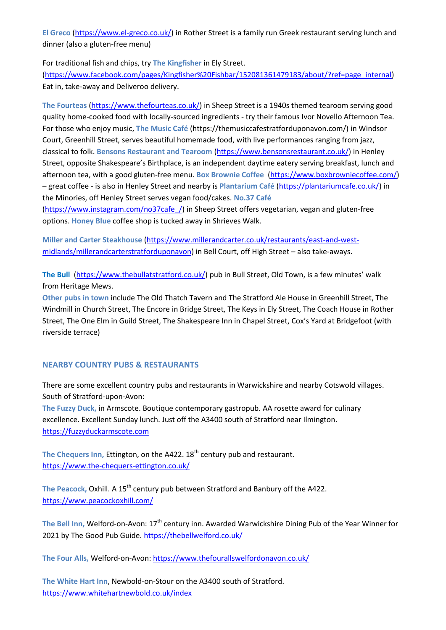**El Greco** [\(https://www.el-greco.co.uk/\)](https://www.el-greco.co.uk/) in Rother Street is a family run Greek restaurant serving lunch and dinner (also a gluten-free menu)

For traditional fish and chips, try **The Kingfisher** in Ely Street.

[\(https://www.facebook.com/pages/Kingfisher%20Fishbar/152081361479183/about/?ref=page\\_internal\)](https://www.facebook.com/pages/Kingfisher%20Fishbar/152081361479183/about/?ref=page_internal) Eat in, take-away and Deliveroo delivery.

**The Fourteas** [\(https://www.thefourteas.co.uk/\)](https://www.thefourteas.co.uk/) in Sheep Street is a 1940s themed tearoom serving good quality home-cooked food with locally-sourced ingredients - try their famous Ivor Novello Afternoon Tea. For those who enjoy music, **The Music Café** (https://themusiccafestratforduponavon.com/) in Windsor Court, Greenhill Street, serves beautiful homemade food, with live performances ranging from jazz, classical to folk. **Bensons Restaurant and Tearoom** [\(https://www.bensonsrestaurant.co.uk/\)](https://www.bensonsrestaurant.co.uk/) in Henley Street, opposite Shakespeare's Birthplace, is an independent daytime eatery serving breakfast, lunch and afternoon tea, with a good gluten-free menu. **Box Brownie Coffee** [\(https://www.boxbrowniecoffee.com/\)](https://www.boxbrowniecoffee.com/) – great coffee - is also in Henley Street and nearby is **Plantarium Café** [\(https://plantariumcafe.co.uk/\)](https://plantariumcafe.co.uk/) in the Minories, off Henley Street serves vegan food/cakes. **No.37 Café**

[\(https://www.instagram.com/no37cafe\\_/\)](https://www.instagram.com/no37cafe_/) in Sheep Street offers vegetarian, vegan and gluten-free options. **Honey Blue** coffee shop is tucked away in Shrieves Walk.

**Miller and Carter Steakhouse** [\(https://www.millerandcarter.co.uk/restaurants/east-and-west](https://www.millerandcarter.co.uk/restaurants/east-and-west-midlands/millerandcarterstratforduponavon)[midlands/millerandcarterstratforduponavon\)](https://www.millerandcarter.co.uk/restaurants/east-and-west-midlands/millerandcarterstratforduponavon) in Bell Court, off High Street – also take-aways.

**The Bull** [\(https://www.thebullatstratford.co.uk/\)](https://www.thebullatstratford.co.uk/) pub in Bull Street, Old Town, is a few minutes' walk from Heritage Mews.

**Other pubs in town** include The Old Thatch Tavern and The Stratford Ale House in Greenhill Street, The Windmill in Church Street, The Encore in Bridge Street, The Keys in Ely Street, The Coach House in Rother Street, The One Elm in Guild Street, The Shakespeare Inn in Chapel Street, Cox's Yard at Bridgefoot (with riverside terrace)

# **NEARBY COUNTRY PUBS & RESTAURANTS**

There are some excellent country pubs and restaurants in Warwickshire and nearby Cotswold villages. South of Stratford-upon-Avon:

**The Fuzzy Duck,** in Armscote. Boutique contemporary gastropub. AA rosette award for culinary excellence. Excellent Sunday lunch. Just off the A3400 south of Stratford near Ilmington. [https://fuzzyduckarmscote.com](https://fuzzyduckarmscote.com/)

The Chequers Inn, Ettington, on the A422. 18<sup>th</sup> century pub and restaurant. <https://www.the-chequers-ettington.co.uk/>

The Peacock, Oxhill. A 15<sup>th</sup> century pub between Stratford and Banbury off the A422. <https://www.peacockoxhill.com/>

The Bell Inn, Welford-on-Avon: 17<sup>th</sup> century inn. Awarded Warwickshire Dining Pub of the Year Winner for 2021 by The Good Pub Guide.<https://thebellwelford.co.uk/>

**The Four Alls,** Welford-on-Avon: <https://www.thefourallswelfordonavon.co.uk/>

**The White Hart Inn**, Newbold-on-Stour on the A3400 south of Stratford. <https://www.whitehartnewbold.co.uk/index>